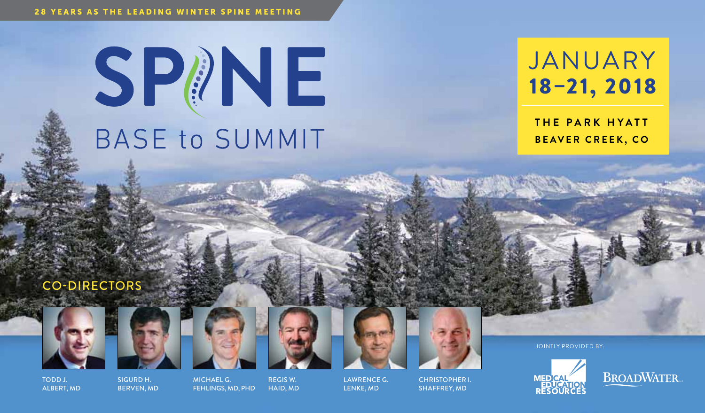# SPINE **BASE to SUMMIT**

# **JANUARY** 18–21, 2018

**THE PARK HYATT Beaver Creek, CO**

# Co-Directors







Regis W. Haid, MD



Lawrence G. Lenke, MD



Christopher I. SHAFFREY, MD

Jointly PROVIDED by:



**BROADWATER** 

Todd J. Albert, MD

Sigurd H. Berven, MD Michael G. Fehlings, MD, PhD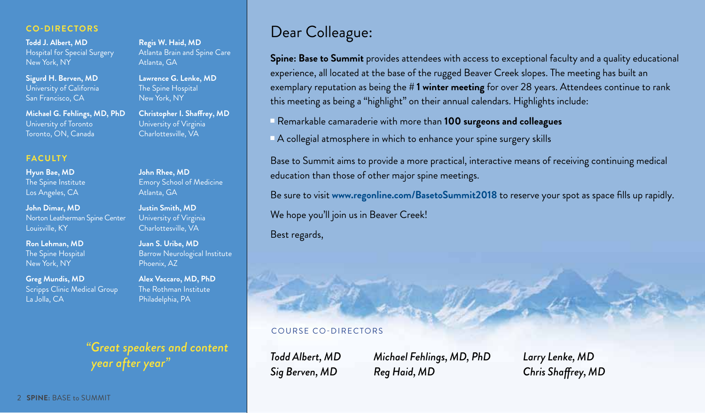### **Co-Directors**

**Todd J. Albert, MD** Hospital for Special Surgery New York, NY

**Sigurd H. Berven, MD** University of California San Francisco, CA

**Michael G. Fehlings, MD, PhD** University of Toronto Toronto, ON, Canada

### **Faculty**

**Hyun Bae, MD** The Spine Institute Los Angeles, CA

**John Dimar, MD** Norton Leatherman Spine Center Louisville, KY

**Ron Lehman, MD**  The Spine Hospital New York, NY

**Greg Mundis, MD** Scripps Clinic Medical Group La Jolla, CA

**Regis W. Haid, MD** Atlanta Brain and Spine Care Atlanta, GA

**Lawrence G. Lenke, MD** The Spine Hospital New York, NY

**Christopher I. Shaffrey, MD** University of Virginia Charlottesville, VA

**John Rhee, MD** Emory School of Medicine Atlanta, GA

**Justin Smith, MD** University of Virginia Charlottesville, VA

**Juan S. Uribe, MD** Barrow Neurological Institute Phoenix, AZ

**Alex Vaccaro, MD, PhD** The Rothman Institute Philadelphia, PA

*"Great speakers and content* 

*year after year"*

# Dear Colleague:

**Spine: Base to Summit** provides attendees with access to exceptional faculty and a quality educational experience, all located at the base of the rugged Beaver Creek slopes. The meeting has built an exemplary reputation as being the **# 1 winter meeting** for over 28 years. Attendees continue to rank this meeting as being a "highlight" on their annual calendars. Highlights include:

<sup>n</sup> Remarkable camaraderie with more than **100 surgeons and colleagues**

 $\blacksquare$  A collegial atmosphere in which to enhance your spine surgery skills

Base to Summit aims to provide a more practical, interactive means of receiving continuing medical education than those of other major spine meetings.

Be sure to visit **www.regonline.com/BasetoSummit2018** to reserve your spot as space fills up rapidly.

We hope you'll join us in Beaver Creek!

Best regards,

### C ourse Co-Directors

*Todd Albert, MD Sig Berven, MD*

*Michael Fehlings, MD, PhD Reg Haid, MD*

*Larry Lenke, MD Chris Shaffrey, MD*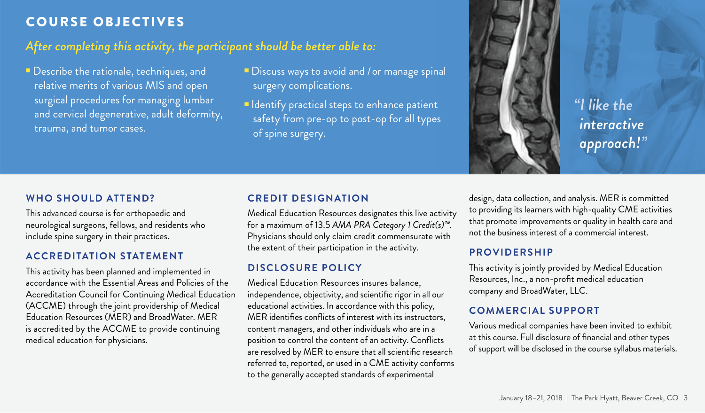# Course Objectives

# *After completing this activity, the participant should be better able to:*

- **Describe the rationale, techniques, and** relative merits of various MIS and open surgical procedures for managing lumbar and cervical degenerative, adult deformity, trauma, and tumor cases.
- Discuss ways to avoid and / or manage spinal surgery complications.
- **n** Identify practical steps to enhance patient safety from pre-op to post-op for all types of spine surgery.

### **Who Should Attend?**

This advanced course is for orthopaedic and neurological surgeons, fellows, and residents who include spine surgery in their practices.

### **Accreditation Statement**

This activity has been planned and implemented in accordance with the Essential Areas and Policies of the Accreditation Council for Continuing Medical Education (ACCME) through the joint providership of Medical Education Resources (MER) and BroadWater. MER is accredited by the ACCME to provide continuing medical education for physicians.

### **Credit Designation**

Medical Education Resources designates this live activity for a maximum of 13.5 *AMA PRA Category 1 Credit(s)™*. Physicians should only claim credit commensurate with the extent of their participation in the activity.

### **Disclosure Policy**

Medical Education Resources insures balance, independence, objectivity, and scientific rigor in all our educational activities. In accordance with this policy, MER identifies conflicts of interest with its instructors, content managers, and other individuals who are in a position to control the content of an activity. Conflicts are resolved by MER to ensure that all scientific research referred to, reported, or used in a CME activity conforms to the generally accepted standards of experimental

design, data collection, and analysis. MER is committed to providing its learners with high-quality CME activities that promote improvements or quality in health care and not the business interest of a commercial interest.

*"I like the* 

*interactive* 

*approach!"*

### **Providership**

This activity is jointly provided by Medical Education Resources, Inc., a non-profit medical education company and BroadWater, LLC.

### **Commercial Support**

Various medical companies have been invited to exhibit at this course. Full disclosure of financial and other types of support will be disclosed in the course syllabus materials.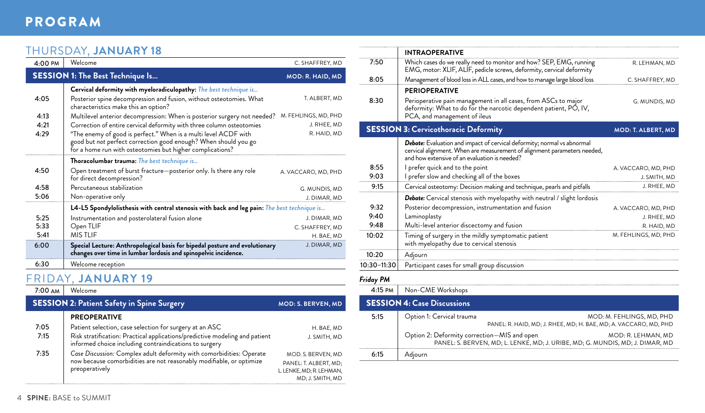# Program

# THURSDAY, **JANUARY 18**

| $4:00 \text{ PM}$ | Welcome                                                                                                                                        | C. SHAFFREY, MD      |  |
|-------------------|------------------------------------------------------------------------------------------------------------------------------------------------|----------------------|--|
|                   | <b>SESSION 1: The Best Technique Is</b>                                                                                                        | MOD: R. HAID, MD     |  |
|                   | Cervical deformity with myeloradiculopathy: The best technique is                                                                              |                      |  |
| 4:05              | Posterior spine decompression and fusion, without osteotomies. What<br>characteristics make this an option?                                    | T. ALBERT, MD        |  |
| 4:13              | Multilevel anterior decompression: When is posterior surgery not needed?                                                                       | M. FEHLINGS, MD, PHD |  |
| 4:21              | Correction of entire cervical deformity with three column osteotomies                                                                          | J. RHEE, MD          |  |
| 4:29              | "The enemy of good is perfect." When is a multi level ACDF with                                                                                | R. HAID, MD          |  |
|                   | good but not perfect correction good enough? When should you go<br>for a home run with osteotomies but higher complications?                   |                      |  |
|                   | Thoracolumbar trauma: The best technique is                                                                                                    |                      |  |
| 4:50              | Open treatment of burst fracture-posterior only. Is there any role<br>for direct decompression?                                                | A. VACCARO, MD, PHD  |  |
| 4:58              | Percutaneous stabilization                                                                                                                     | G. MUNDIS, MD        |  |
| 5:06              | Non-operative only                                                                                                                             | J. DIMAR, MD         |  |
|                   | L4-L5 Spondylolisthesis with central stenosis with back and leg pain: The best technique is                                                    |                      |  |
| 5:25              | Instrumentation and posterolateral fusion alone                                                                                                | J. DIMAR, MD         |  |
| 5:33              | Open TLIF                                                                                                                                      | C. SHAFFREY, MD      |  |
| 5:41              | MIS THE                                                                                                                                        | H. BAE, MD           |  |
| 6:00              | Special Lecture: Anthropological basis for bipedal posture and evolutionary<br>changes over time in lumbar lordosis and spinopelvic incidence. | J. DIMAR, MD         |  |
| 6:30              | Welcome reception                                                                                                                              |                      |  |

# FRIDAY, **JANUARY 19**

| 7:00 AM | Welcome                                                                                                                               |                           |
|---------|---------------------------------------------------------------------------------------------------------------------------------------|---------------------------|
|         | <b>SESSION 2: Patient Safety in Spine Surgery</b>                                                                                     | <b>MOD: S. BERVEN, MD</b> |
|         | <b>PREOPERATIVE</b>                                                                                                                   |                           |
| 7:05    | Patient selection, case selection for surgery at an ASC                                                                               | H. BAE. MD                |
| 7:15    | Risk stratification: Practical applications/predictive modeling and patient<br>informed choice including contraindications to surgery | J. SMITH, MD              |
| 7:35    | Case Discussion: Complex adult deformity with comorbidities: Operate                                                                  | MOD. S. BERVEN, MD        |
|         | now because comorbidities are not reasonably modifiable, or optimize                                                                  | PANEL: T. ALBERT, MD;     |
|         | preoperatively                                                                                                                        | L. LENKE, MD; R. LEHMAN,  |
|         |                                                                                                                                       | MD; J. SMITH, MD          |

| <b>INTRAOPERATIVE</b>                                                                                                                                                                                |                      |
|------------------------------------------------------------------------------------------------------------------------------------------------------------------------------------------------------|----------------------|
| Which cases do we really need to monitor and how? SEP, EMG, running<br>EMG, motor: XLIF, ALIF, pedicle screws, deformity, cervical deformity                                                         | R. LEHMAN, MD        |
| Management of blood loss in ALL cases, and how to manage large blood loss                                                                                                                            | C. SHAFFREY, MD      |
| <b>PERIOPERATIVE</b>                                                                                                                                                                                 |                      |
| Perioperative pain management in all cases, from ASCs to major<br>deformity: What to do for the narcotic dependent patient, PO, IV,<br>PCA, and management of ileus                                  | G. MUNDIS, MD        |
| <b>SESSION 3: Cervicothoracic Deformity</b>                                                                                                                                                          | MOD: T. ALBERT, MD   |
| Debate: Evaluation and impact of cervical deformity; normal vs abnormal<br>cervical alignment. When are measurement of alignment parameters needed,<br>and how extensive of an evaluation is needed? |                      |
| I prefer quick and to the point                                                                                                                                                                      | A. VACCARO, MD, PHD  |
| I prefer slow and checking all of the boxes                                                                                                                                                          | J. SMITH, MD         |
| Cervical osteotomy: Decision making and technique, pearls and pitfalls                                                                                                                               | J. RHEE, MD          |
| Debate: Cervical stenosis with myelopathy with neutral / slight lordosis                                                                                                                             |                      |
| Posterior decompression, instrumentation and fusion                                                                                                                                                  | A. VACCARO, MD, PHD  |
| Laminoplasty                                                                                                                                                                                         | J. RHEE, MD          |
| Multi-level anterior discectomy and fusion                                                                                                                                                           | R. HAID, MD          |
| Timing of surgery in the mildly symptomatic patient<br>with myelopathy due to cervical stenosis                                                                                                      | M. FEHLINGS, MD, PHD |
| Adjourn                                                                                                                                                                                              |                      |
| Participant cases for small group discussion                                                                                                                                                         |                      |
|                                                                                                                                                                                                      |                      |
| Non-CME Workshops                                                                                                                                                                                    |                      |
|                                                                                                                                                                                                      |                      |

|      | <b>SESSIVIN 4: Case Discussions</b>                                           |
|------|-------------------------------------------------------------------------------|
| 5:15 | Option 1: Cervical trauma<br>MOD: M. FEHLINGS, MD, PHD                        |
|      | PANEL: R. HAID, MD; J. RHEE, MD; H. BAE, MD; A. VACCARO, MD, PHD              |
|      | Option 2: Deformity correction-MIS and open<br>MOD: R. LEHMAN. MD             |
|      | PANEL: S. BERVEN, MD; L. LENKE, MD; J. URIBE, MD; G. MUNDIS, MD; J. DIMAR, MD |
| 6:15 | Adjourn                                                                       |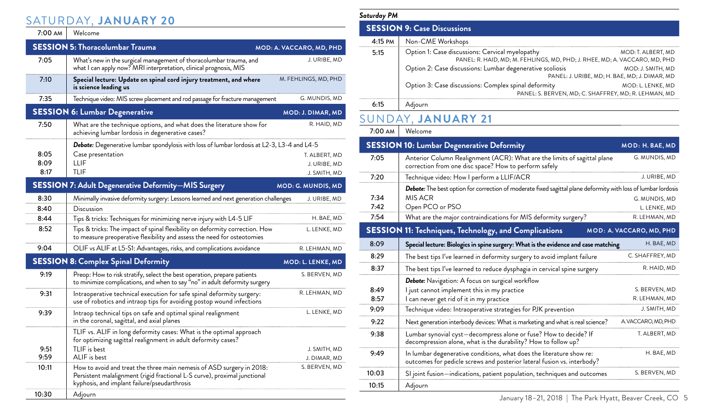# SATURDAY, **JANUARY 20**

# 7:00 AM Welcome

|       | <b>SESSION 5: Thoracolumbar Trauma</b>                                                                                                                                                             | MOD: A. VACCARO, MD, PHD |
|-------|----------------------------------------------------------------------------------------------------------------------------------------------------------------------------------------------------|--------------------------|
| 7:05  | What's new in the surgical management of thoracolumbar trauma, and<br>what I can apply now? MRI interpretation, clinical prognosis, MIS                                                            | J. URIBE, MD             |
| 7:10  | Special lecture: Update on spinal cord injury treatment, and where<br>is science leading us                                                                                                        | M. FEHLINGS, MD, PHD     |
| 7:35  | Technique video: MIS screw placement and rod passage for fracture management                                                                                                                       | G. MUNDIS, MD            |
|       | <b>SESSION 6: Lumbar Degenerative</b>                                                                                                                                                              | MOD: J. DIMAR, MD        |
| 7:50  | What are the technique options, and what does the literature show for<br>achieving lumbar lordosis in degenerative cases?                                                                          | R. HAID, MD              |
|       | <b>Debate:</b> Degenerative lumbar spondylosis with loss of lumbar lordosis at L2-3, L3-4 and L4-5                                                                                                 |                          |
| 8:05  | Case presentation                                                                                                                                                                                  | T. ALBERT, MD            |
| 8:09  | LLIF                                                                                                                                                                                               | J. URIBE, MD             |
| 8:17  | TLIF                                                                                                                                                                                               | J. SMITH, MD             |
|       | <b>SESSION 7: Adult Degenerative Deformity-MIS Surgery</b>                                                                                                                                         | MOD: G. MUNDIS, MD       |
| 8:30  | Minimally invasive deformity surgery: Lessons learned and next generation challenges                                                                                                               | J. URIBE, MD             |
| 8:40  | Discussion                                                                                                                                                                                         |                          |
| 8:44  | Tips & tricks: Techniques for minimizing nerve injury with L4-5 LIF                                                                                                                                | H. BAE, MD               |
| 8:52  | Tips & tricks: The impact of spinal flexibility on deformity correction. How<br>to measure preoperative flexibility and assess the need for osteotomies                                            | L. LENKE, MD             |
| 9:04  | OLIF vs ALIF at L5-S1: Advantages, risks, and complications avoidance                                                                                                                              | R. LEHMAN, MD            |
|       | <b>SESSION 8: Complex Spinal Deformity</b>                                                                                                                                                         | MOD: L. LENKE, MD        |
| 9:19  | Preop: How to risk stratify, select the best operation, prepare patients<br>to minimize complications, and when to say "no" in adult deformity surgery                                             | S. BERVEN, MD            |
| 9:31  | Intraoperative technical execution for safe spinal deformity surgery:<br>use of robotics and intraop tips for avoiding postop wound infections                                                     | R. LEHMAN, MD            |
| 9:39  | Intraop technical tips on safe and optimal spinal realignment<br>in the coronal, sagittal, and axial planes                                                                                        | L. LENKE, MD             |
|       | TLIF vs. ALIF in long deformity cases: What is the optimal approach<br>for optimizing sagittal realignment in adult deformity cases?                                                               |                          |
| 9:51  | TLIF is best                                                                                                                                                                                       | J. SMITH, MD             |
| 9:59  | ALIF is best                                                                                                                                                                                       | J. DIMAR, MD             |
| 10:11 | How to avoid and treat the three main nemesis of ASD surgery in 2018:<br>Persistent malalignment (rigid fractional L-S curve), proximal junctional<br>kyphosis, and implant failure/pseudarthrosis | S. BERVEN, MD            |
| 10:30 | Adjourn                                                                                                                                                                                            |                          |

| Saturday PM                        |                                                                                                                               |                                                                           |
|------------------------------------|-------------------------------------------------------------------------------------------------------------------------------|---------------------------------------------------------------------------|
| <b>SESSION 9: Case Discussions</b> |                                                                                                                               |                                                                           |
| $4:15 \text{ }$ PM                 | Non-CME Workshops                                                                                                             |                                                                           |
| 5:15                               | Option 1: Case discussions: Cervical myelopathy<br>PANEL: R. HAID, MD; M. FEHLINGS, MD, PHD; J. RHEE, MD; A. VACCARO, MD, PHD | MOD: T. ALBERT, MD                                                        |
|                                    | Option 2: Case discussions: Lumbar degenerative scoliosis                                                                     | MOD: J. SMITH, MD<br>PANEL: J. URIBE, MD; H. BAE, MD; J. DIMAR, MD        |
|                                    | Option 3: Case discussions: Complex spinal deformity                                                                          | MOD: L. LENKE, MD<br>PANEL: S. BERVEN, MD: C. SHAFFREY, MD: R. LEHMAN, MD |
| 6:15                               | Adjourn                                                                                                                       |                                                                           |
|                                    | SUNDAY, JANUARY 21                                                                                                            |                                                                           |
| $7.00 \text{ AM}$                  | Welcome                                                                                                                       |                                                                           |

|       | <b>SESSION 10: Lumbar Degenerative Deformity</b>                                                                                                | MOD: H. BAE, MD          |
|-------|-------------------------------------------------------------------------------------------------------------------------------------------------|--------------------------|
| 7:05  | Anterior Column Realignment (ACR): What are the limits of sagittal plane<br>correction from one disc space? How to perform safely               |                          |
| 7:20  | Technique video: How I perform a LLIF/ACR                                                                                                       | J. URIBE, MD             |
|       | Debate: The best option for correction of moderate fixed sagittal plane deformity with loss of lumbar lordosis                                  |                          |
| 7:34  | MIS ACR                                                                                                                                         | G. MUNDIS, MD            |
| 7:42  | Open PCO or PSO                                                                                                                                 | L. LENKE, MD             |
| 7:54  | What are the major contraindications for MIS deformity surgery?                                                                                 | R. LEHMAN, MD            |
|       | <b>SESSION 11: Techniques, Technology, and Complications</b>                                                                                    | MOD: A. VACCARO, MD, PHD |
| 8:09  | Special lecture: Biologics in spine surgery: What is the evidence and case matching                                                             | H. BAE, MD               |
| 8:29  | The best tips I've learned in deformity surgery to avoid implant failure                                                                        | C. SHAFFREY, MD          |
| 8:37  | The best tips I've learned to reduce dysphagia in cervical spine surgery                                                                        | R. HAID, MD              |
|       | <b>Debate:</b> Navigation: A focus on surgical workflow                                                                                         |                          |
| 8.49  | I just cannot implement this in my practice                                                                                                     | S. BERVEN, MD            |
| 8:57  | I can never get rid of it in my practice                                                                                                        | R. LEHMAN, MD            |
| 9:09  | Technique video: Intraoperative strategies for PJK prevention                                                                                   | J. SMITH, MD             |
| 9:22  | Next generation interbody devices: What is marketing and what is real science?                                                                  | A VACCARO, MD, PHD       |
| 9:38  | Lumbar synovial cyst-decompress alone or fuse? How to decide? If<br>decompression alone, what is the durability? How to follow up?              | T. ALBERT, MD            |
| 9:49  | In lumbar degenerative conditions, what does the literature show re:<br>outcomes for pedicle screws and posterior lateral fusion vs. interbody? | H. BAE, MD               |
| 10:03 | SI joint fusion—indications, patient population, techniques and outcomes                                                                        | S. BERVEN, MD            |
| 10:15 | Adjourn                                                                                                                                         |                          |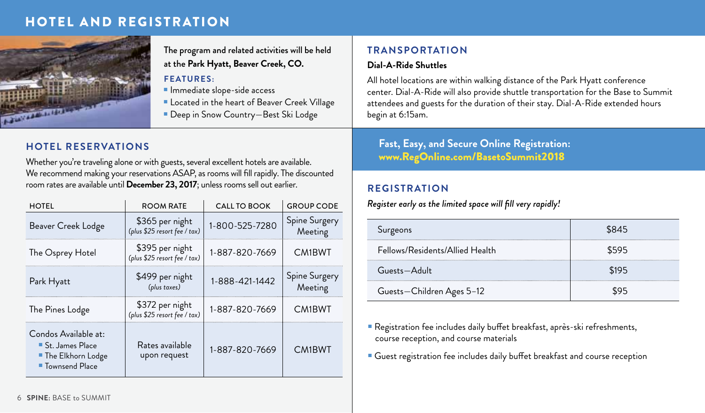# HOTEL AND REGISTRATION



The program and related activities will be held at the **Park Hyatt, Beaver Creek, CO.** 

# **Features:**

- **n** Immediate slope-side access
- **E** Located in the heart of Beaver Creek Village
- Deep in Snow Country–Best Ski Lodge

# **Hotel Reservations**

Whether you're traveling alone or with guests, several excellent hotels are available. We recommend making your reservations ASAP, as rooms will fill rapidly. The discounted room rates are available until **December 23, 2017**; unless rooms sell out earlier.

| <b>HOTEL</b>                                                                              | <b>ROOM RATE</b>                                | <b>CALL TO BOOK</b> | <b>GROUP CODE</b>        |
|-------------------------------------------------------------------------------------------|-------------------------------------------------|---------------------|--------------------------|
| Beaver Creek Lodge                                                                        | \$365 per night<br>(plus \$25 resort fee / tax) | 1-800-525-7280      | Spine Surgery<br>Meeting |
| The Osprey Hotel                                                                          | \$395 per night<br>(plus \$25 resort fee / tax) | 1-887-820-7669      | <b>CM1BWT</b>            |
| Park Hyatt                                                                                | \$499 per night<br>(plus taxes)                 | 1-888-421-1442      | Spine Surgery<br>Meeting |
| The Pines Lodge                                                                           | \$372 per night<br>(plus \$25 resort fee / tax) | 1-887-820-7669      | <b>CM1BWT</b>            |
| Condos Available at:<br>■ St. James Place<br>■ The Elkhorn Lodge<br><b>Townsend Place</b> | Rates available<br>upon request                 | 1-887-820-7669      | CM1BWT                   |

# **Transportation**

### **Dial-A-Ride Shuttles**

All hotel locations are within walking distance of the Park Hyatt conference center. Dial-A-Ride will also provide shuttle transportation for the Base to Summit attendees and guests for the duration of their stay. Dial-A-Ride extended hours begin at 6:15am.

# **Fast, Easy, and Secure Online Registration:**  www.RegOnline.com/BasetoSummit2018

# **Registration**

*Register early as the limited space will fill very rapidly!*

| Surgeons                        |       |
|---------------------------------|-------|
| Fellows/Residents/Allied Health | \$595 |
| Guests-Adult                    | 195   |
| Guests-Children Ages 5-12       |       |

Registration fee includes daily buffet breakfast, après-ski refreshments, course reception, and course materials

**Guest registration fee includes daily buffet breakfast and course reception**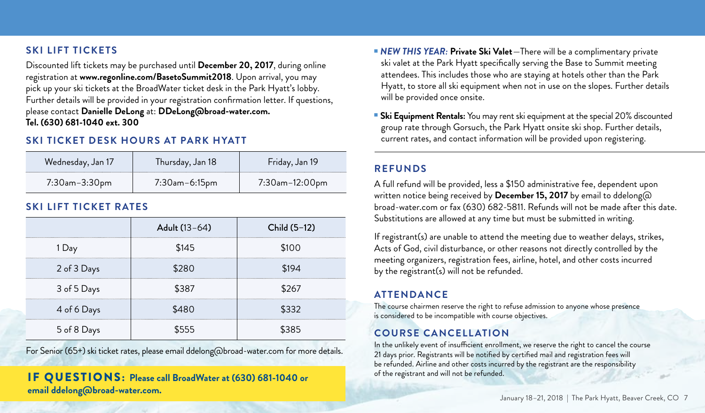# **Ski Lift Tickets**

Discounted lift tickets may be purchased until **December 20, 2017**, during online registration at **www.regonline.com/BasetoSummit2018**. Upon arrival, you may pick up your ski tickets at the BroadWater ticket desk in the Park Hyatt's lobby. Further details will be provided in your registration confirmation letter. If questions, please contact **Danielle DeLong** at: **DDeLong@broad-water.com. Tel. (630) 681-1040 ext. 300** 

# **Ski Ticket Desk Hours at Park Hyatt**

| Wednesday, Jan 17 | Thursday, Jan 18     | Friday, Jan 19        |
|-------------------|----------------------|-----------------------|
| 7:30am-3:30pm     | $7:30$ am $-6:15$ pm | $7:30$ am $-12:00$ pm |

# **Ski Lift Ticket Rates**

|             | Adult (13-64) | Child (5-12) |
|-------------|---------------|--------------|
| 1 Day       | \$145         | 10 O         |
| 2 of 3 Days | 280           | 194          |
| 3 of 5 Days | \$387         | ;267         |
| 4 of 6 Days | \$480         | \$332        |
| 5 of 8 Days |               |              |

For Senior (65+) ski ticket rates, please email ddelong@broad-water.com for more details.

# If questions: **Please call BroadWater at (630) 681-1040 or email ddelong@broad-water.com.**

- **NEW THIS YEAR: Private Ski Valet**—There will be a complimentary private ski valet at the Park Hyatt specifically serving the Base to Summit meeting attendees. This includes those who are staying at hotels other than the Park Hyatt, to store all ski equipment when not in use on the slopes. Further details will be provided once onsite.
- **5 Ski Equipment Rentals:** You may rent ski equipment at the special 20% discounted group rate through Gorsuch, the Park Hyatt onsite ski shop. Further details, current rates, and contact information will be provided upon registering.

# **Refunds**

A full refund will be provided, less a \$150 administrative fee, dependent upon written notice being received by **December 15, 2017** by email to ddelong@ broad-water.com or fax (630) 682-5811. Refunds will not be made after this date. Substitutions are allowed at any time but must be submitted in writing.

If registrant(s) are unable to attend the meeting due to weather delays, strikes, Acts of God, civil disturbance, or other reasons not directly controlled by the meeting organizers, registration fees, airline, hotel, and other costs incurred by the registrant(s) will not be refunded.

# **Attendance**

The course chairmen reserve the right to refuse admission to anyone whose presence is considered to be incompatible with course objectives.

# **Course Cancellation**

In the unlikely event of insufficient enrollment, we reserve the right to cancel the course 21 days prior. Registrants will be notified by certified mail and registration fees will be refunded. Airline and other costs incurred by the registrant are the responsibility of the registrant and will not be refunded.